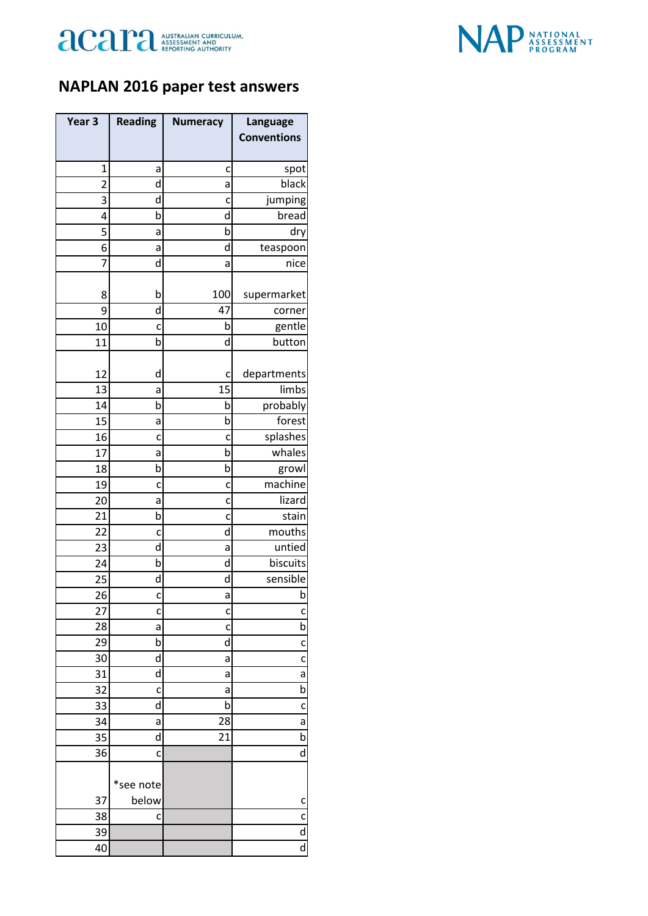



## **NAPLAN 2016 paper test answers**

| Year <sub>3</sub> | <b>Reading</b> | <b>Numeracy</b> | Language           |
|-------------------|----------------|-----------------|--------------------|
|                   |                |                 | <b>Conventions</b> |
|                   |                |                 |                    |
| 1                 | а              | c               | spot               |
| $\overline{2}$    | d              | а               | black              |
| 3                 | d              | c               | jumping            |
| 4<br>5            | b              | d<br>b          | bread<br>dry       |
| 6                 | а<br>a         | d               | teaspoon           |
| 7                 | d              | а               | nice               |
|                   |                |                 |                    |
| 8                 | b              | 100             | supermarket        |
| 9                 | d              | 47              | corner             |
| 10                | C              | b               | gentle             |
| 11                | b              | d               | button             |
| 12                | d              | c               | departments        |
| 13                | а              | 15              | limbs              |
| 14                | b              | b               | probably           |
| 15                | a              | b               | forest             |
| 16                | c              | c               | splashes           |
| 17                | а              | b               | whales             |
| 18                | b              | b               | growl              |
| 19                | c              | c               | machine            |
| 20                | а              | c               | lizard             |
| 21                | b              | C               | stain              |
| 22                | c              | d               | mouths             |
| 23                | d              | а               | untied             |
| 24                | b              | d               | biscuits           |
| 25                | d              | d               | sensible           |
| 26                | c              | a               | h                  |
| 27                | C              | c               | c                  |
| 28                | а              | c               | b                  |
| 29                | b              | d               | c                  |
| 30<br>31          | d<br>d         | a<br>a          | C<br>а             |
| 32                | c              | а               | b                  |
| 33                | d              | b               | c                  |
| 34                | a              | 28              | a                  |
| 35                | d              | 21              | b                  |
| 36                | c              |                 | d                  |
|                   |                |                 |                    |
|                   | *see note      |                 |                    |
| 37                | below          |                 | c                  |
| 38                | c              |                 | c                  |
| 39                |                |                 | d                  |
| 40                |                |                 | d                  |